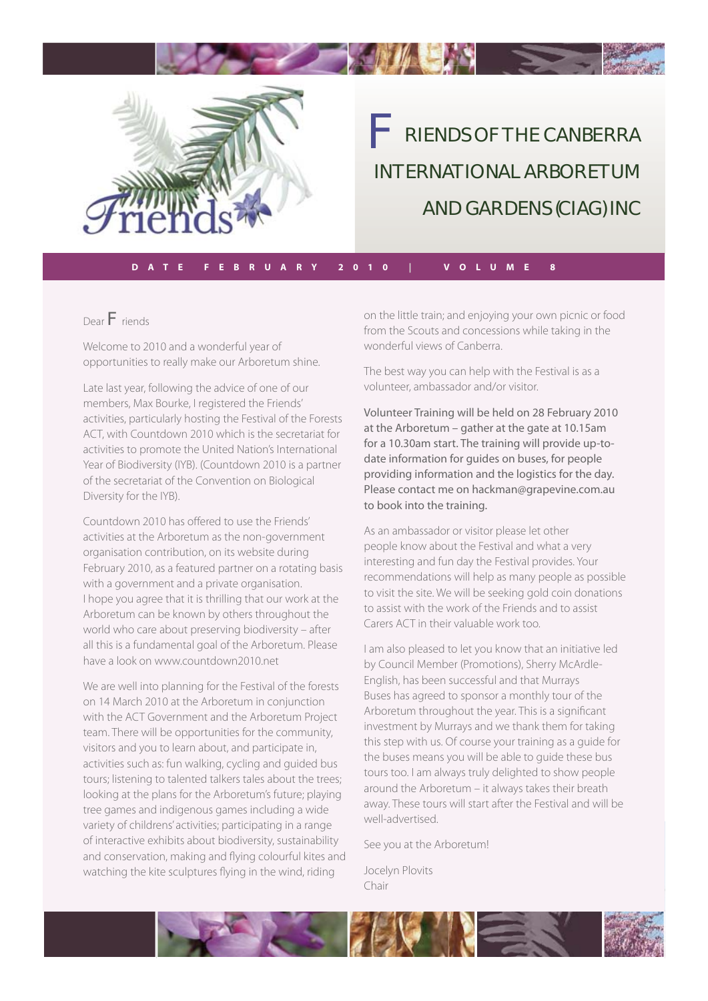

RIENDS OF THE CANBERRA INTERNATIONAL ARBORETUM AND GARDENS (CIAG) INC F

**DATE FEBRUARY 2010 | VOLUME 8**

**The State of the State of the State of the State of the State of the State of the State of the State of the State** 

Dear F riends

Welcome to 2010 and a wonderful year of opportunities to really make our Arboretum shine.

Late last year, following the advice of one of our members, Max Bourke, I registered the Friends' activities, particularly hosting the Festival of the Forests ACT, with Countdown 2010 which is the secretariat for activities to promote the United Nation's International Year of Biodiversity (IYB). (Countdown 2010 is a partner of the secretariat of the Convention on Biological Diversity for the IYB).

Countdown 2010 has offered to use the Friends' activities at the Arboretum as the non-government organisation contribution, on its website during February 2010, as a featured partner on a rotating basis with a government and a private organisation. I hope you agree that it is thrilling that our work at the Arboretum can be known by others throughout the world who care about preserving biodiversity – after all this is a fundamental goal of the Arboretum. Please have a look on www.countdown2010.net

We are well into planning for the Festival of the forests on 14 March 2010 at the Arboretum in conjunction with the ACT Government and the Arboretum Project team. There will be opportunities for the community, visitors and you to learn about, and participate in, activities such as: fun walking, cycling and guided bus tours; listening to talented talkers tales about the trees; looking at the plans for the Arboretum's future; playing tree games and indigenous games including a wide variety of childrens' activities; participating in a range of interactive exhibits about biodiversity, sustainability and conservation, making and flying colourful kites and watching the kite sculptures flying in the wind, riding

on the little train; and enjoying your own picnic or food from the Scouts and concessions while taking in the wonderful views of Canberra.

The best way you can help with the Festival is as a volunteer, ambassador and/or visitor.

Volunteer Training will be held on 28 February 2010 at the Arboretum – gather at the gate at 10.15am for a 10.30am start. The training will provide up-todate information for guides on buses, for people providing information and the logistics for the day. Please contact me on hackman@grapevine.com.au to book into the training.

As an ambassador or visitor please let other people know about the Festival and what a very interesting and fun day the Festival provides. Your recommendations will help as many people as possible to visit the site. We will be seeking gold coin donations to assist with the work of the Friends and to assist Carers ACT in their valuable work too.

I am also pleased to let you know that an initiative led by Council Member (Promotions), Sherry McArdle-English, has been successful and that Murrays Buses has agreed to sponsor a monthly tour of the Arboretum throughout the year. This is a significant investment by Murrays and we thank them for taking this step with us. Of course your training as a guide for the buses means you will be able to guide these bus tours too. I am always truly delighted to show people around the Arboretum – it always takes their breath away. These tours will start after the Festival and will be well-advertised.

See you at the Arboretum!

Jocelyn Plovits Chair

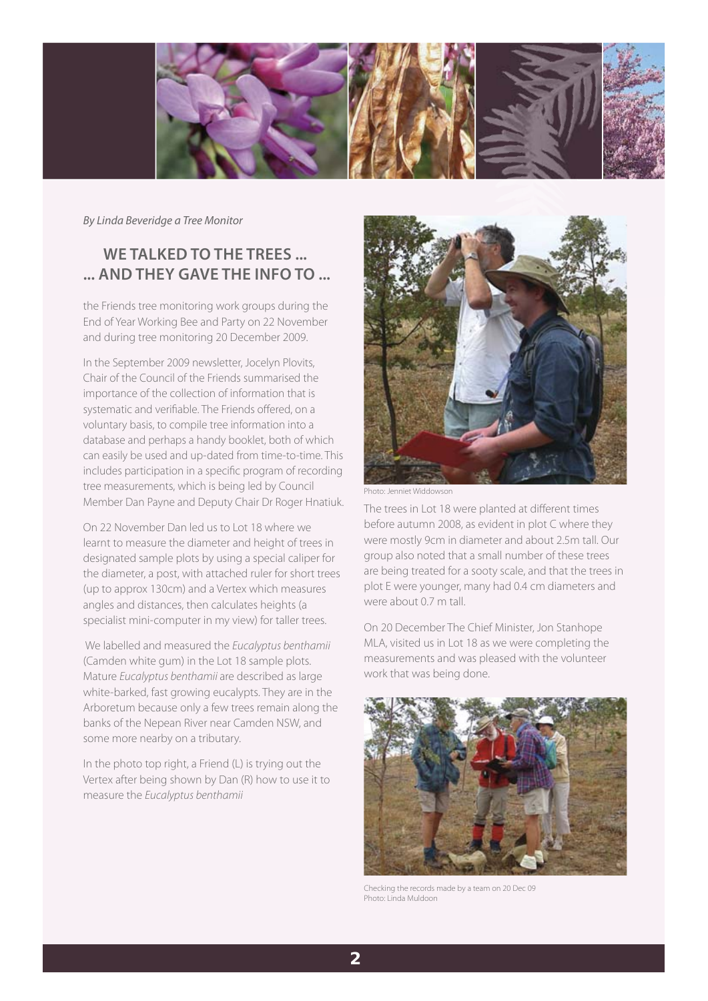

By Linda Beveridge a Tree Monitor

# **WE TALKED TO THE TREES ... ... AND THEY GAVE THE INFO TO ...**

the Friends tree monitoring work groups during the End of Year Working Bee and Party on 22 November and during tree monitoring 20 December 2009.

In the September 2009 newsletter, Jocelyn Plovits, Chair of the Council of the Friends summarised the importance of the collection of information that is systematic and verifiable. The Friends offered, on a voluntary basis, to compile tree information into a database and perhaps a handy booklet, both of which can easily be used and up-dated from time-to-time. This includes participation in a specific program of recording tree measurements, which is being led by Council Member Dan Payne and Deputy Chair Dr Roger Hnatiuk.

On 22 November Dan led us to Lot 18 where we learnt to measure the diameter and height of trees in designated sample plots by using a special caliper for the diameter, a post, with attached ruler for short trees (up to approx 130cm) and a Vertex which measures angles and distances, then calculates heights (a specialist mini-computer in my view) for taller trees.

We labelled and measured the Eucalyptus benthamii (Camden white gum) in the Lot 18 sample plots. Mature Eucalyptus benthamii are described as large white-barked, fast growing eucalypts. They are in the Arboretum because only a few trees remain along the banks of the Nepean River near Camden NSW, and some more nearby on a tributary.

In the photo top right, a Friend (L) is trying out the Vertex after being shown by Dan (R) how to use it to measure the Eucalyptus benthamii



Photo: Jenniet Widdowson

The trees in Lot 18 were planted at different times before autumn 2008, as evident in plot C where they were mostly 9cm in diameter and about 2.5m tall. Our group also noted that a small number of these trees are being treated for a sooty scale, and that the trees in plot E were younger, many had 0.4 cm diameters and were about 0.7 m tall.

On 20 December The Chief Minister, Jon Stanhope MLA, visited us in Lot 18 as we were completing the measurements and was pleased with the volunteer work that was being done.



Checking the records made by a team on 20 Dec 09 Photo: Linda Muldoon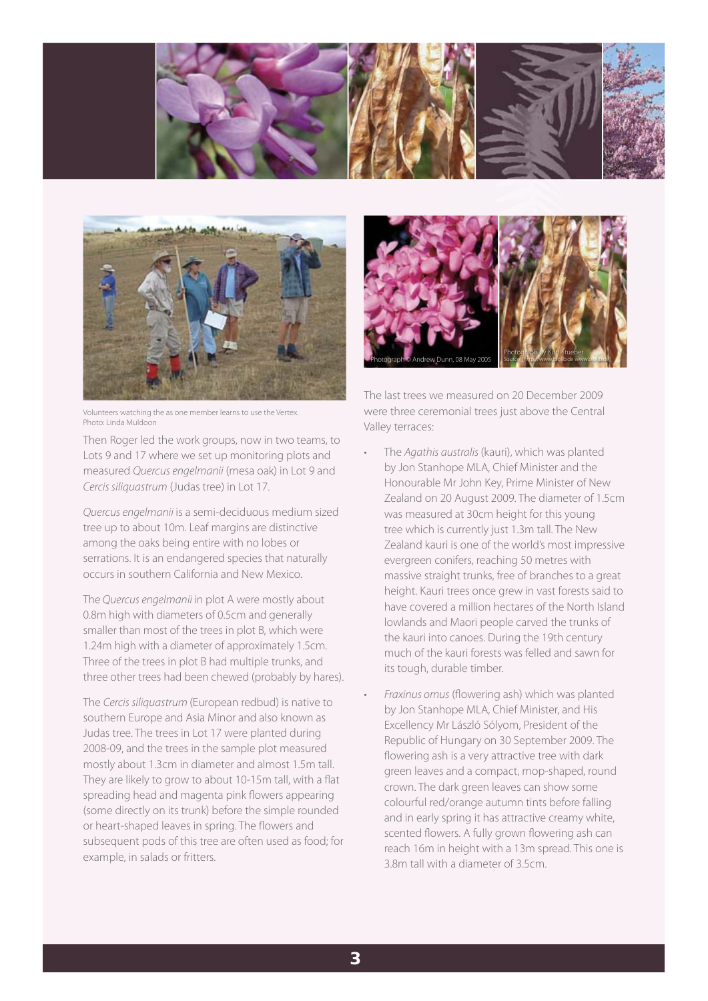



Volunteers watching the as one member learns to use the Vertex. Photo: Linda Muldoon

Then Roger led the work groups, now in two teams, to Lots 9 and 17 where we set up monitoring plots and measured Quercus engelmanii (mesa oak) in Lot 9 and Cercis siliquastrum (Judas tree) in Lot 17.

Quercus engelmanii is a semi-deciduous medium sized tree up to about 10m. Leaf margins are distinctive among the oaks being entire with no lobes or serrations. It is an endangered species that naturally occurs in southern California and New Mexico.

The Quercus engelmanii in plot A were mostly about 0.8m high with diameters of 0.5cm and generally smaller than most of the trees in plot B, which were 1.24m high with a diameter of approximately 1.5cm. Three of the trees in plot B had multiple trunks, and three other trees had been chewed (probably by hares).

The Cercis siliquastrum (European redbud) is native to southern Europe and Asia Minor and also known as Judas tree. The trees in Lot 17 were planted during 2008-09, and the trees in the sample plot measured mostly about 1.3cm in diameter and almost 1.5m tall. They are likely to grow to about 10-15m tall, with a flat spreading head and magenta pink flowers appearing (some directly on its trunk) before the simple rounded or heart-shaped leaves in spring. The flowers and subsequent pods of this tree are often used as food; for example, in salads or fritters.



The last trees we measured on 20 December 2009 were three ceremonial trees just above the Central Valley terraces:

- The Agathis australis (kauri), which was planted by Jon Stanhope MLA, Chief Minister and the Honourable Mr John Key, Prime Minister of New Zealand on 20 August 2009. The diameter of 1.5cm was measured at 30cm height for this young tree which is currently just 1.3m tall. The New Zealand kauri is one of the world's most impressive evergreen conifers, reaching 50 metres with massive straight trunks, free of branches to a great height. Kauri trees once grew in vast forests said to have covered a million hectares of the North Island lowlands and Maori people carved the trunks of the kauri into canoes. During the 19th century much of the kauri forests was felled and sawn for its tough, durable timber.
- Fraxinus ornus (flowering ash) which was planted by Jon Stanhope MLA, Chief Minister, and His Excellency Mr László Sólyom, President of the Republic of Hungary on 30 September 2009. The flowering ash is a very attractive tree with dark green leaves and a compact, mop-shaped, round crown. The dark green leaves can show some colourful red/orange autumn tints before falling and in early spring it has attractive creamy white, scented flowers. A fully grown flowering ash can reach 16m in height with a 13m spread. This one is 3.8m tall with a diameter of 3.5cm.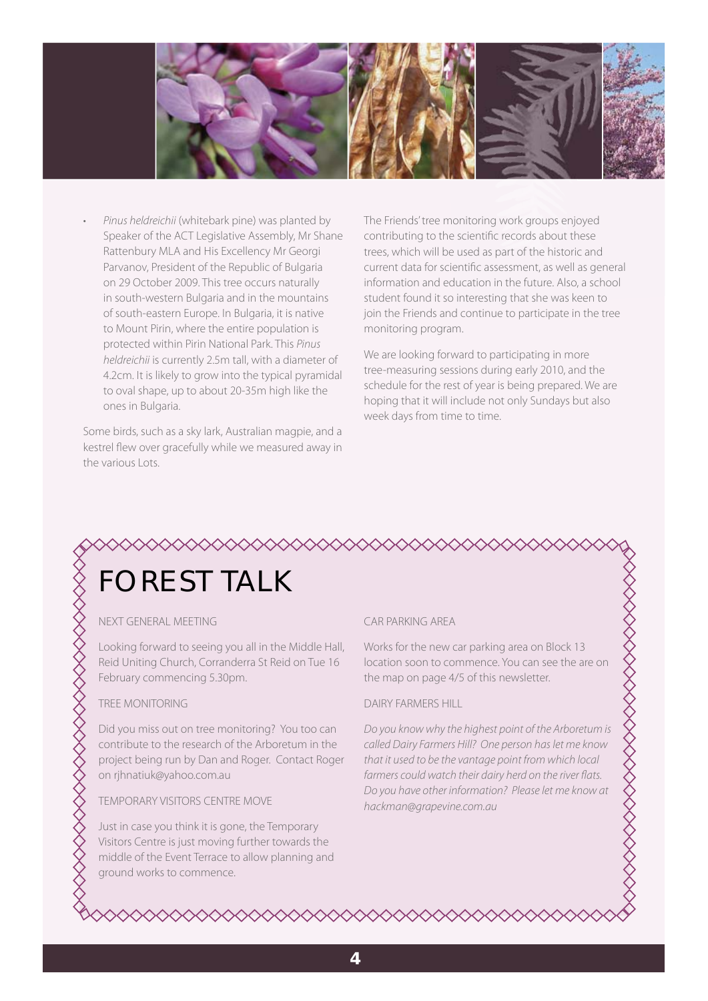

• Pinus heldreichii (whitebark pine) was planted by Speaker of the ACT Legislative Assembly, Mr Shane Rattenbury MLA and His Excellency Mr Georgi Parvanov, President of the Republic of Bulgaria on 29 October 2009. This tree occurs naturally in south-western Bulgaria and in the mountains of south-eastern Europe. In Bulgaria, it is native to Mount Pirin, where the entire population is protected within Pirin National Park. This Pinus heldreichii is currently 2.5m tall, with a diameter of 4.2cm. It is likely to grow into the typical pyramidal to oval shape, up to about 20-35m high like the ones in Bulgaria.

Some birds, such as a sky lark, Australian magpie, and a kestrel flew over gracefully while we measured away in the various Lots.

The Friends' tree monitoring work groups enjoyed contributing to the scientific records about these trees, which will be used as part of the historic and current data for scientific assessment, as well as general information and education in the future. Also, a school student found it so interesting that she was keen to join the Friends and continue to participate in the tree monitoring program.

We are looking forward to participating in more tree-measuring sessions during early 2010, and the schedule for the rest of year is being prepared. We are hoping that it will include not only Sundays but also week days from time to time.

# ≫≫≫≫≫≫≫≫≫≫≫≫≫≫≫≫≫ FOREST TALK

#### NEXT GENERAL MEETING

Looking forward to seeing you all in the Middle Hall, Reid Uniting Church, Corranderra St Reid on Tue 16 February commencing 5.30pm.

#### TREE MONITORING

Did you miss out on tree monitoring? You too can contribute to the research of the Arboretum in the project being run by Dan and Roger. Contact Roger on rjhnatiuk@yahoo.com.au

#### TEMPORARY VISITORS CENTRE MOVE

Just in case you think it is gone, the Temporary Visitors Centre is just moving further towards the middle of the Event Terrace to allow planning and ground works to commence.

#### CAR PARKING AREA

Works for the new car parking area on Block 13 location soon to commence. You can see the are on the map on page 4/5 of this newsletter.

#### DAIRY FARMERS HILL

Do you know why the highest point of the Arboretum is called Dairy Farmers Hill? One person has let me know that it used to be the vantage point from which local farmers could watch their dairy herd on the river flats. Do you have other information? Please let me know at hackman@grapevine.com.au

◇◇◇◇◇◇◇◇◇◇◇◇◇◇◇◇◇◇◇◇◇◇◇◇◇◇◇◇◇◇◇◇◇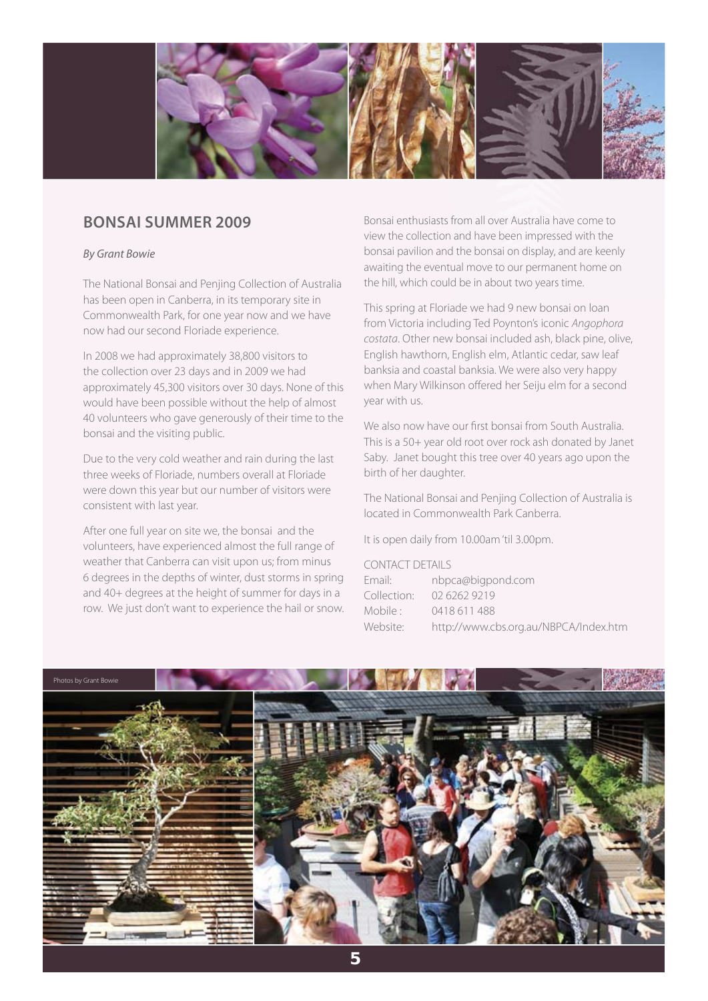

## **BONSAI SUMMER 2009**

#### By Grant Bowie

The National Bonsai and Penjing Collection of Australia has been open in Canberra, in its temporary site in Commonwealth Park, for one year now and we have now had our second Floriade experience.

In 2008 we had approximately 38,800 visitors to the collection over 23 days and in 2009 we had approximately 45,300 visitors over 30 days. None of this would have been possible without the help of almost 40 volunteers who gave generously of their time to the bonsai and the visiting public.

Due to the very cold weather and rain during the last three weeks of Floriade, numbers overall at Floriade were down this year but our number of visitors were consistent with last year.

After one full year on site we, the bonsai and the volunteers, have experienced almost the full range of weather that Canberra can visit upon us; from minus 6 degrees in the depths of winter, dust storms in spring and 40+ degrees at the height of summer for days in a row. We just don't want to experience the hail or snow.

Bonsai enthusiasts from all over Australia have come to view the collection and have been impressed with the bonsai pavilion and the bonsai on display, and are keenly awaiting the eventual move to our permanent home on the hill, which could be in about two years time.

This spring at Floriade we had 9 new bonsai on loan from Victoria including Ted Poynton's iconic Angophora costata. Other new bonsai included ash, black pine, olive, English hawthorn, English elm, Atlantic cedar, saw leaf banksia and coastal banksia. We were also very happy when Mary Wilkinson offered her Seiju elm for a second year with us.

We also now have our first bonsai from South Australia. This is a 50+ year old root over rock ash donated by Janet Saby. Janet bought this tree over 40 years ago upon the birth of her daughter.

The National Bonsai and Penjing Collection of Australia is located in Commonwealth Park Canberra.

It is open daily from 10.00am 'til 3.00pm.

#### CONTACT DETAILS

| Email:      | nbpca@bigpond.com                     |
|-------------|---------------------------------------|
| Collection: | 02 6262 9219                          |
| Mobile :    | 0418 611 488                          |
| Website:    | http://www.cbs.org.au/NBPCA/Index.htm |

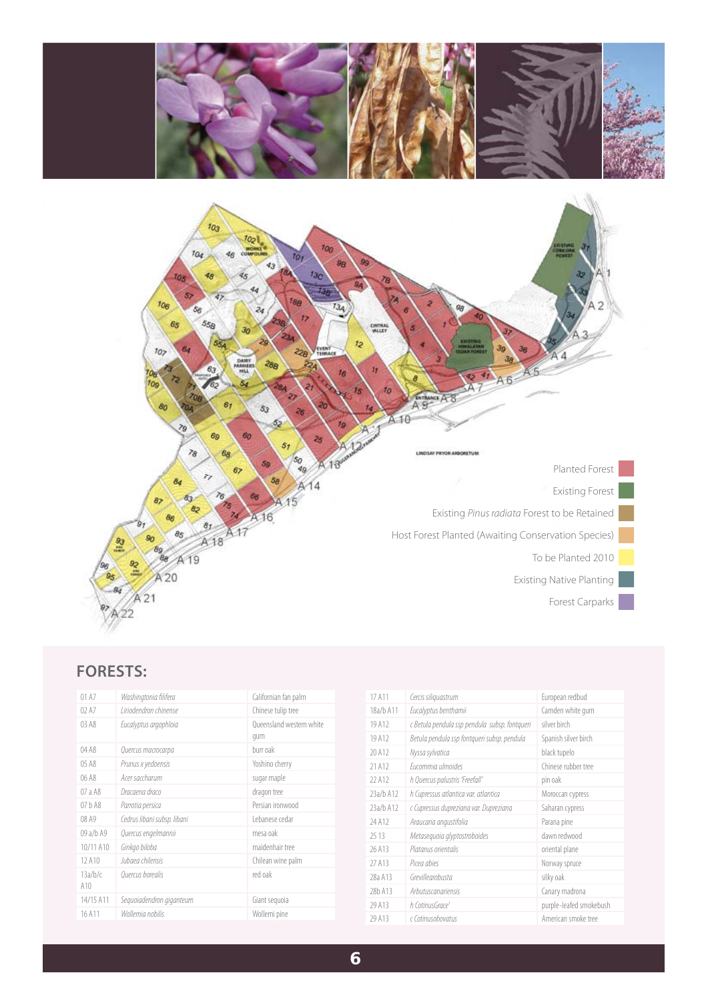

# **FORESTS:**

| 01A7           | Washingtonia filifera       | Californian fan palm            |
|----------------|-----------------------------|---------------------------------|
| 02A7           | l iriodendron chinense      | Chinese tulip tree              |
| 03 A 8         | Eucalyptus argophloia       | Queensland western white<br>qum |
| 04 A8          | Quercus macrocarpa          | burr oak                        |
| 05 A8          | Prunus x yedoensis          | Yoshino cherry                  |
| 06 A8          | Acer saccharum              | sugar maple                     |
| 07 a A8        | Dracaena draco              | dragon tree                     |
| 07hA8          | Parrotia persica            | Persian ironwood                |
| 08 A9          | Cedrus libani subsp. libani | Lebanese cedar                  |
| 09 a/b A9      | Quercus engelmannii         | mesa oak                        |
| 10/11 A10      | Ginkgo biloba               | maidenhair tree                 |
| 12 A10         | Jubaea chilensis            | Chilean wine palm               |
| 13a/b/c<br>A10 | Quercus borealis            | red oak                         |
| 14/15 A11      | Seguoiadendron giganteum    | Giant seguoia                   |
| 16 A 11        | Wollemia nobilis            | Wollemi pine                    |

| 17 A 11   | Cercis siliquastrum                           | European redbud         |
|-----------|-----------------------------------------------|-------------------------|
| 18a/b A11 | Eucalyptus benthamii                          | Camden white gum        |
| 19 A 12   | c Betula pendula ssp pendula subsp. fontqueri | silver birch            |
| 19 A12    | Betula pendula ssp fontqueri subsp. pendula   | Spanish silver birch    |
| 20 A 12   | Nyssa sylvatica                               | black tupelo            |
| 21 A12    | Fucommia ulmoides                             | Chinese rubber tree     |
| 22 A12    | h Quercus palustris 'Freefall'                | pin oak                 |
| 23a/b A12 | h Cupressus atlantica var. atlantica          | Moroccan cypress        |
| 23a/b A12 | c Cupressus dupreziana var. Dupreziana        | Saharan cypress         |
| 24 A12    | Araucaria angustifolia                        | Parana pine             |
| 25.13     | Metasequoia glyptostroboides                  | dawn redwood            |
| 26 A 13   | Platanus orientalis                           | oriental plane          |
| 27 A13    | Picea abjes                                   | Norway spruce           |
| 28a A13   | Grevillearobusta                              | silky oak               |
| 28b A13   | Arbutuscanariensis                            | Canary madrona          |
| 29 A13    | h CotinusGrace'                               | purple-leafed smokebush |
| 29 A 13   | c Cotinusobovatus                             | American smoke tree     |
|           |                                               |                         |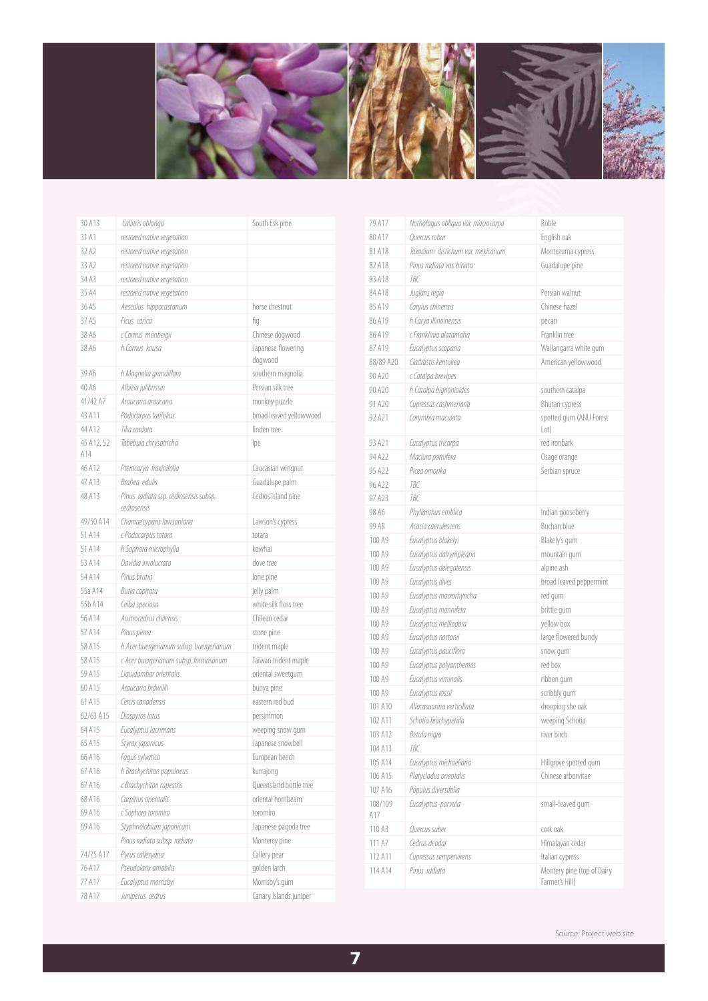

| 30 A13            | Callitris oblonga                       | South Esk pine                |
|-------------------|-----------------------------------------|-------------------------------|
| 31 A1             | restored native vegetation              |                               |
| 32 A2             | restored native vegetation              |                               |
| 33 A2             | restored native vegetation              |                               |
| 34 A3             | restored native vegetation              |                               |
| 35 A4             | restored native vegetation              |                               |
| 36 A5             | Aesculus hippocastanum                  | horse chestnut                |
| 37 A5             | Ficus carica                            | fiq                           |
| 38 A6             | c Cornus monbeigii                      | Chinese dogwood               |
| 38 A6             | h Cornus kousa                          | Japanese flowering<br>dogwood |
| 39 A6             | h Magnolia grandiflora                  | southern magnolia             |
| 40 A6             | Albizia julibrissin                     | Persian silk tree             |
| 41/42 A7          | Araucaria araucana                      | monkey puzzle                 |
| 43 A11            | Podocarpus latifolius                   | broad leaved yellowwood       |
| 44 A12            | Tilia cordata                           | linden tree                   |
| 45 A12, 52<br>A14 | Tabebuia chrysotricha                   | lpe                           |
| 46 A12            | Pterocarya fraxinifolia                 | Caucasian wingnut             |
| 47 A13            | Brahea edulis                           | Guadalupe palm                |
| 48 A13            | Pinus radiata ssp. cedrosensis subsp.   | Cedros island pine            |
|                   | cedrosensis                             |                               |
| 49/50 A14         | Chamaecyparis lawsoniana                | Lawson's cypress              |
| 51 A 14           | c Podocarpus totara                     | totara                        |
| 51 A 14           | h Sophora microphylla                   | kowhai                        |
| 53 A14            | Davidia involucrata                     | dove tree                     |
| 54 A 14           | Pinus brutia                            | lone pine                     |
| 55a A14           | Butia capitata                          | jelly palm                    |
| 55b A14           | Ceiba speciosa                          | white silk floss tree         |
| 56 A14            | Austrocedrus chilensis                  | Chilean cedar                 |
| 57 A 14           | Pinus pinea                             | stone pine                    |
| 58 A 15           | h Acer buergerianum subsp. buergerianum | trident maple                 |
| 58 A15            | c Acer buergerianum subsp. formosanum   | Taiwan trident maple          |
| 59 A15            | Liquidambar orientalis                  | oriental sweetgum             |
| 60 A 15           | Araucaria bidwillii                     | bunya pine                    |
| 61 A15            | Cercis canadensis                       | eastern red bud               |
| 62/63 A15         | Diospyros lotus                         | persimmon                     |
| 64 A 15           | Eucalyptus lacrimans                    | weeping snow gum              |
| 65 A15            | Styrax japonicus                        | Japanese snowbell             |
| 66 A16            | Fagus sylvatica                         | European beech                |
| 67 A 16           | h Brachychiton populneus                | kurrajong                     |
| 67 A16            | c Brachychiton rupestris                | Queensland bottle tree        |
| 68 A16            | Carpinus orientalis                     | oriental hornbeam             |
| 69 A16            | c Sophora toromiro                      | toromiro                      |
| 69 A16            | Styphnolobium japonicum                 | Japanese pagoda tree          |
|                   | Pinus radiata subsp. radiata            | Monterey pine                 |
| 74/75 A17         | Pyrus calleryana                        | Callery pear                  |
| 76 A17            | Pseudolarix amabilis                    | golden larch                  |
| 77 A17            | Eucalyptus morrisbyi                    | Morrisby's gum                |
| 78 A17            | Juniperus cedrus                        | Canary Islands juniper        |

| 79 A 17            | Nothofagus obliqua var. macrocarpa | Roble                                        |
|--------------------|------------------------------------|----------------------------------------------|
| 80 A 17            | Ouercus robur                      | English oak                                  |
| 81 A 18            | Taxodium distichum var. mexicanum  | Montezuma cypress                            |
| 82 A 18            | Pinus radiata var. binata          | Guadalupe pine                               |
| 83 A 18            | <b>TBC</b>                         |                                              |
| 84 A 18            | Juglans regia                      | Persian walnut                               |
| 85 A19             | Corylus chinensis                  | Chinese hazel                                |
| 86 A19             | h Carya illinoinensis              | pecan                                        |
| 86 A19             | c Franklinia alatamaha             | Franklin tree                                |
| 87 A19             | Eucalyptus scoparia                | Wallangarra white gum                        |
| 88/89 A20          | Cladrastis kentukea                | American yellowwood                          |
| 90 A20             | c Catalpa brevipes                 |                                              |
| 90 A20             | h Catalpa bignonioides             | southern catalpa                             |
| 91 A20             | Cupressus cashmeriana              | <b>Bhutan cypress</b>                        |
| 92 A21             | Corymbia maculata                  | spotted gum (ANU Forest<br>Lot)              |
| 93 A21             | Eucalyptus tricarpa                | red ironbark                                 |
| 94 A22             | Maclura pomifera                   | Osage orange                                 |
| 95 A22             | Picea omorika                      | Serbian spruce                               |
| 96 A <sub>22</sub> | TBC                                |                                              |
| 97 A23             | <b>TBC</b>                         |                                              |
| 98 A6              | Phyllanthus emblica                | Indian gooseberry                            |
| 99 A8              | Acacia caerulescens                | Buchan blue                                  |
| 100 A9             | Eucalyptus blakelyi                | Blakely's gum                                |
| 100 A9             | Eucalyptus dalrympleana            | mountain gum                                 |
| 100 A9             | Eucalyptus delegatensis            | alpine ash                                   |
| 100 A9             | Eucalyptus dives                   | broad leaved peppermint                      |
| 100 A9             | Eucalyptus macrorhyncha            | red gum                                      |
| 100 A9             | Eucalyptus mannifera               | brittle gum                                  |
| 100 A9             | Eucalyptus melliodora              | yellow box                                   |
| 100 A9             | Eucalyptus nortonii                | large flowered bundy                         |
| 100 A <sub>9</sub> | Eucalyptus pauciflora              | snow gum                                     |
| 100 A <sub>9</sub> | Eucalyptus polyanthemos            | red box                                      |
| 100 A9             | Eucalyptus viminalis               | ribbon gum                                   |
| 100 A9             | Eucalyptus rossii                  | scribbly gum                                 |
| 101 A10            | Allocasuarina verticillata         | drooping she oak                             |
| 102 A11            | Schotia brachypetala               | weeping Schotia                              |
| 103 A12            | Betula nigra                       | river birch                                  |
| 104 A13            | ТВС                                |                                              |
| 105 A14            | Eucalyptus michaeliana             | Hillgrove spotted gum                        |
| 106 A15            | Platycladus orientalis             | Chinese arborvitae                           |
| 107 A16            | Populus diversifolia               |                                              |
| 108/109<br>A17     | Eucalyptus parvula                 | small-leaved gum                             |
| 110 A3             | Quercus suber                      | cork oak                                     |
| 111 A7             | Cedrus deodar                      | Himalayan cedar                              |
| 112 A11            | Cupressus sempervirens             | Italian cypress                              |
| 114 A14            | Pinus radiata                      | Montery pine (top of Dairy<br>Farmer's Hill) |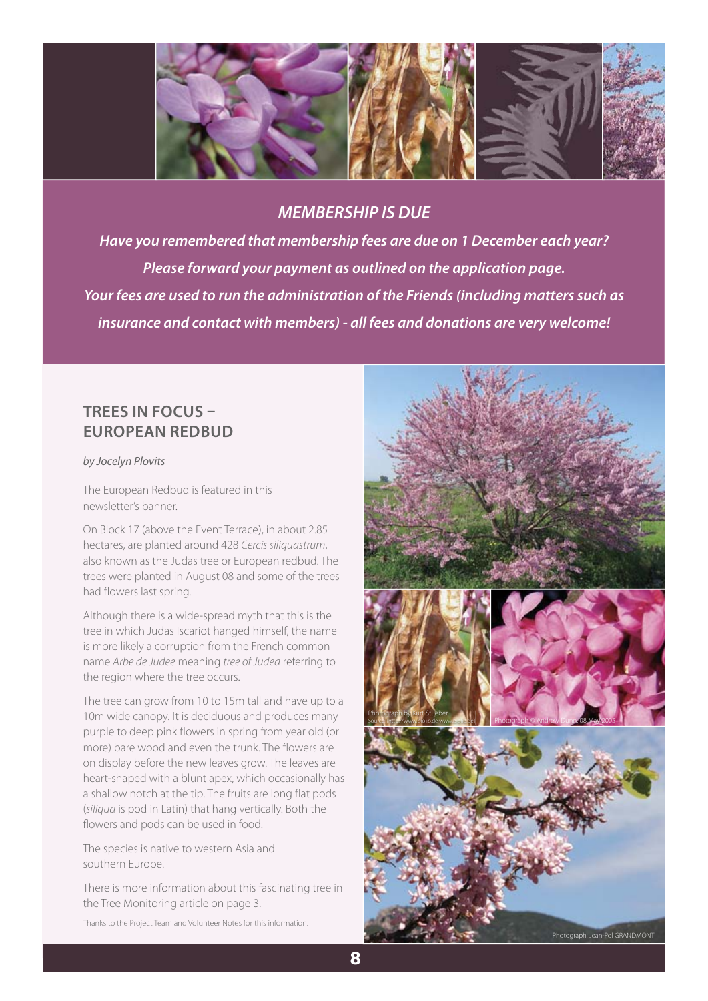

## *MEMBERSHIP IS DUE*

*Have you remembered that membership fees are due on 1 December each year? Please forward your payment as outlined on the application page. Your fees are used to run the administration of the Friends (including matters such as insurance and contact with members) - all fees and donations are very welcome!*

# **TREES IN FOCUS – EUROPEAN REDBUD**

by Jocelyn Plovits

The European Redbud is featured in this newsletter's banner.

On Block 17 (above the Event Terrace), in about 2.85 hectares, are planted around 428 Cercis siliquastrum, also known as the Judas tree or European redbud. The trees were planted in August 08 and some of the trees had flowers last spring.

Although there is a wide-spread myth that this is the tree in which Judas Iscariot hanged himself, the name is more likely a corruption from the French common name Arbe de Judee meaning tree of Judea referring to the region where the tree occurs.

The tree can grow from 10 to 15m tall and have up to a 10m wide canopy. It is deciduous and produces many purple to deep pink flowers in spring from year old (or more) bare wood and even the trunk. The flowers are on display before the new leaves grow. The leaves are heart-shaped with a blunt apex, which occasionally has a shallow notch at the tip. The fruits are long flat pods (siliqua is pod in Latin) that hang vertically. Both the flowers and pods can be used in food.

The species is native to western Asia and southern Europe.

There is more information about this fascinating tree in the Tree Monitoring article on page 3.

Thanks to the Project Team and Volunteer Notes for this information.